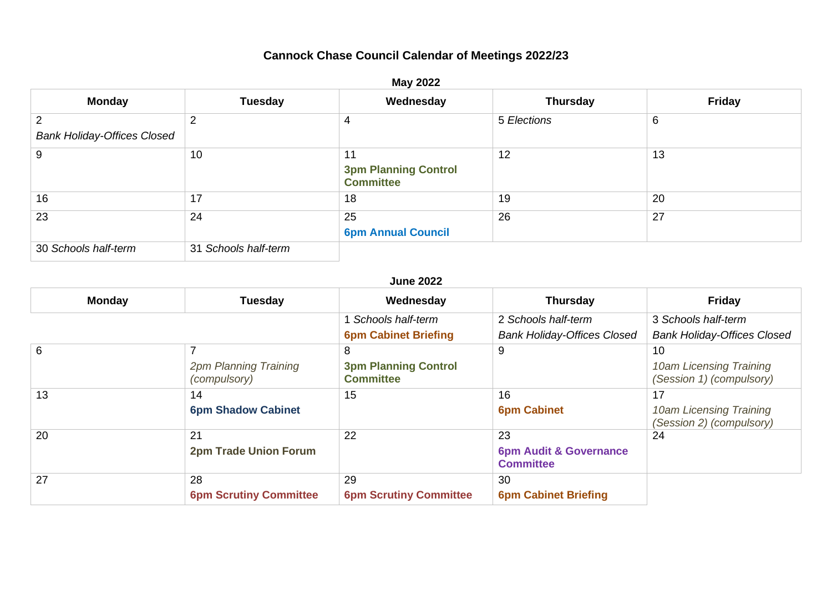## **Cannock Chase Council Calendar of Meetings 2022/23**

| <b>May 2022</b>                         |                      |                                                       |                 |               |  |
|-----------------------------------------|----------------------|-------------------------------------------------------|-----------------|---------------|--|
| <b>Monday</b>                           | <b>Tuesday</b>       | Wednesday                                             | <b>Thursday</b> | <b>Friday</b> |  |
| 2<br><b>Bank Holiday-Offices Closed</b> | 2                    | 4                                                     | 5 Elections     | 6             |  |
| 9                                       | 10                   | 11<br><b>3pm Planning Control</b><br><b>Committee</b> | 12              | 13            |  |
| 16                                      | 17                   | 18                                                    | 19              | 20            |  |
| 23                                      | 24                   | 25<br><b>6pm Annual Council</b>                       | 26              | 27            |  |
| 30 Schools half-term                    | 31 Schools half-term |                                                       |                 |               |  |

## **June 2022**

| <b>Monday</b> | <b>Tuesday</b>                        | Wednesday                                       | <b>Thursday</b>                                       | <b>Friday</b>                                       |
|---------------|---------------------------------------|-------------------------------------------------|-------------------------------------------------------|-----------------------------------------------------|
|               |                                       | Schools half-term                               | 2 Schools half-term                                   | 3 Schools half-term                                 |
|               |                                       | <b>6pm Cabinet Briefing</b>                     | <b>Bank Holiday-Offices Closed</b>                    | <b>Bank Holiday-Offices Closed</b>                  |
| 6             |                                       | 8                                               | 9                                                     | 10                                                  |
|               | 2pm Planning Training<br>(compulsory) | <b>3pm Planning Control</b><br><b>Committee</b> |                                                       | 10am Licensing Training<br>(Session 1) (compulsory) |
| 13            | 14                                    | 15                                              | 16                                                    | 17                                                  |
|               | <b>6pm Shadow Cabinet</b>             |                                                 | <b>6pm Cabinet</b>                                    | 10am Licensing Training<br>(Session 2) (compulsory) |
| 20            | 21                                    | 22                                              | 23                                                    | 24                                                  |
|               | <b>2pm Trade Union Forum</b>          |                                                 | <b>6pm Audit &amp; Governance</b><br><b>Committee</b> |                                                     |
| 27            | 28                                    | 29                                              | 30                                                    |                                                     |
|               | <b>6pm Scrutiny Committee</b>         | <b>6pm Scrutiny Committee</b>                   | <b>6pm Cabinet Briefing</b>                           |                                                     |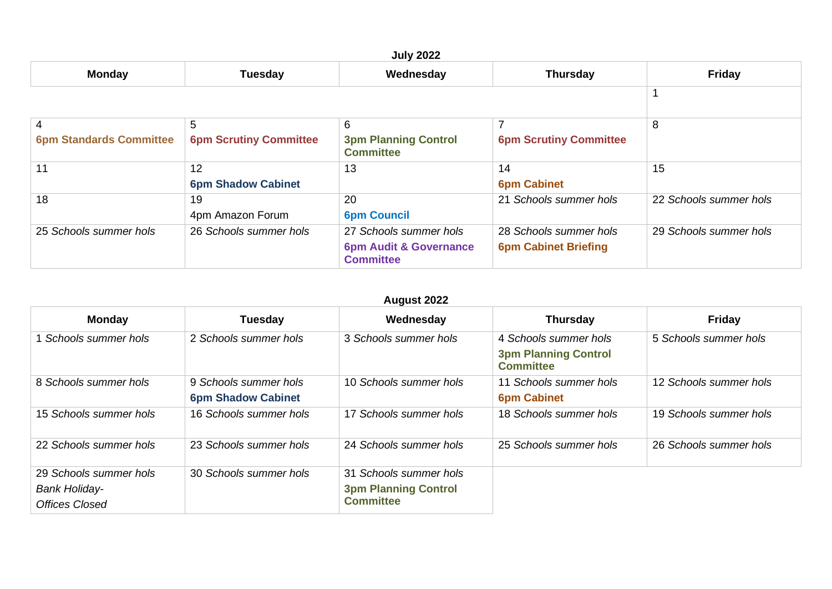|                                |                                 | <b>July 2022</b>                                                                |                                                       |                        |
|--------------------------------|---------------------------------|---------------------------------------------------------------------------------|-------------------------------------------------------|------------------------|
| <b>Monday</b>                  | <b>Tuesday</b>                  | Wednesday                                                                       | <b>Thursday</b>                                       | <b>Friday</b>          |
|                                |                                 |                                                                                 |                                                       |                        |
| 4                              | 5                               | 6                                                                               |                                                       | 8                      |
| <b>6pm Standards Committee</b> | <b>6pm Scrutiny Committee</b>   | <b>3pm Planning Control</b><br><b>Committee</b>                                 | <b>6pm Scrutiny Committee</b>                         |                        |
| 11                             | 12<br><b>6pm Shadow Cabinet</b> | 13                                                                              | 14<br><b>6pm Cabinet</b>                              | 15                     |
| 18                             | 19<br>4pm Amazon Forum          | 20<br><b>6pm Council</b>                                                        | 21 Schools summer hols                                | 22 Schools summer hols |
| 25 Schools summer hols         | 26 Schools summer hols          | 27 Schools summer hols<br><b>6pm Audit &amp; Governance</b><br><b>Committee</b> | 28 Schools summer hols<br><b>6pm Cabinet Briefing</b> | 29 Schools summer hols |

| <b>August 2022</b>     |                                                    |                                                 |                                                                          |                        |  |
|------------------------|----------------------------------------------------|-------------------------------------------------|--------------------------------------------------------------------------|------------------------|--|
| <b>Monday</b>          | <b>Tuesday</b>                                     | Wednesday                                       | <b>Thursday</b>                                                          | <b>Friday</b>          |  |
| Schools summer hols    | 2 Schools summer hols                              | 3 Schools summer hols                           | 4 Schools summer hols<br><b>3pm Planning Control</b><br><b>Committee</b> | 5 Schools summer hols  |  |
| 8 Schools summer hols  | 9 Schools summer hols<br><b>6pm Shadow Cabinet</b> | 10 Schools summer hols                          | 11 Schools summer hols<br><b>6pm Cabinet</b>                             | 12 Schools summer hols |  |
| 15 Schools summer hols | 16 Schools summer hols                             | 17 Schools summer hols                          | 18 Schools summer hols                                                   | 19 Schools summer hols |  |
| 22 Schools summer hols | 23 Schools summer hols                             | 24 Schools summer hols                          | 25 Schools summer hols                                                   | 26 Schools summer hols |  |
| 29 Schools summer hols | 30 Schools summer hols                             | 31 Schools summer hols                          |                                                                          |                        |  |
| <b>Bank Holiday-</b>   |                                                    | <b>3pm Planning Control</b><br><b>Committee</b> |                                                                          |                        |  |
| <b>Offices Closed</b>  |                                                    |                                                 |                                                                          |                        |  |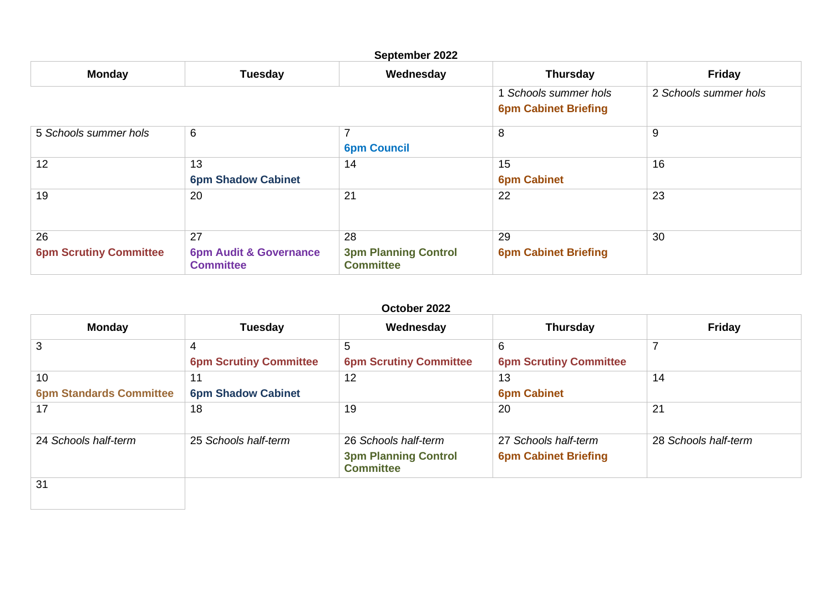| September 2022                      |                                                             |                                                       |                                                      |                       |  |
|-------------------------------------|-------------------------------------------------------------|-------------------------------------------------------|------------------------------------------------------|-----------------------|--|
| <b>Monday</b>                       | <b>Tuesday</b>                                              | Wednesday                                             | <b>Thursday</b>                                      | Friday                |  |
|                                     |                                                             |                                                       | 1 Schools summer hols<br><b>6pm Cabinet Briefing</b> | 2 Schools summer hols |  |
| 5 Schools summer hols               | 6                                                           | <b>6pm Council</b>                                    | 8                                                    | 9                     |  |
| 12                                  | 13<br><b>6pm Shadow Cabinet</b>                             | 14                                                    | 15<br><b>6pm Cabinet</b>                             | 16                    |  |
| 19                                  | 20                                                          | 21                                                    | 22                                                   | 23                    |  |
| 26<br><b>6pm Scrutiny Committee</b> | 27<br><b>6pm Audit &amp; Governance</b><br><b>Committee</b> | 28<br><b>3pm Planning Control</b><br><b>Committee</b> | 29<br><b>6pm Cabinet Briefing</b>                    | 30                    |  |

| <b>Monday</b>                  | <b>Tuesday</b>                | Wednesday                                       | <b>Thursday</b>               | <b>Friday</b>        |
|--------------------------------|-------------------------------|-------------------------------------------------|-------------------------------|----------------------|
| 3                              | 4                             | 5                                               | 6                             |                      |
|                                | <b>6pm Scrutiny Committee</b> | <b>6pm Scrutiny Committee</b>                   | <b>6pm Scrutiny Committee</b> |                      |
| 10                             | 11                            | 12                                              | 13                            | 14                   |
| <b>6pm Standards Committee</b> | <b>6pm Shadow Cabinet</b>     |                                                 | <b>6pm Cabinet</b>            |                      |
| 17                             | 18                            | 19                                              | 20                            | 21                   |
| 24 Schools half-term           | 25 Schools half-term          | 26 Schools half-term                            | 27 Schools half-term          | 28 Schools half-term |
|                                |                               | <b>3pm Planning Control</b><br><b>Committee</b> | <b>6pm Cabinet Briefing</b>   |                      |
| 31                             |                               |                                                 |                               |                      |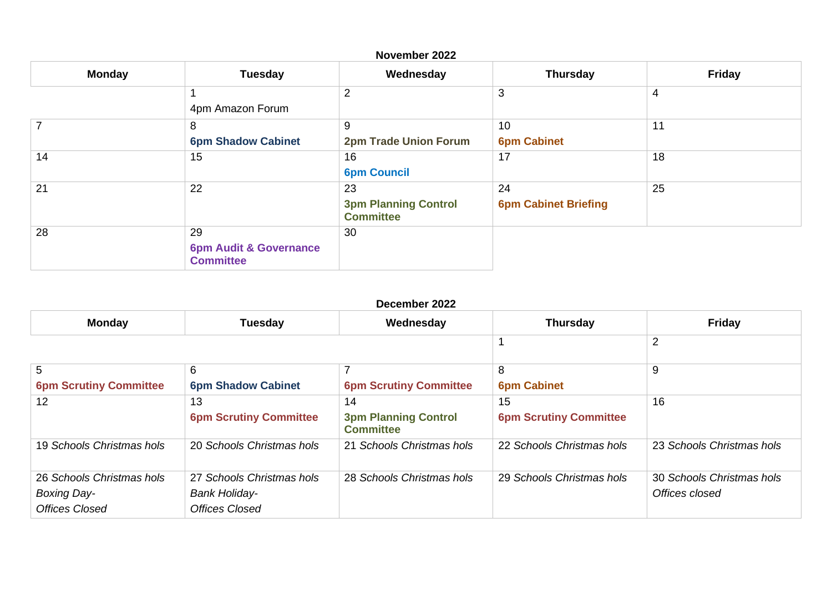| November 2022 |                                                             |                                                       |                                   |               |  |
|---------------|-------------------------------------------------------------|-------------------------------------------------------|-----------------------------------|---------------|--|
| <b>Monday</b> | <b>Tuesday</b>                                              | Wednesday                                             | <b>Thursday</b>                   | <b>Friday</b> |  |
|               | 4pm Amazon Forum                                            | 2                                                     | 3                                 | 4             |  |
|               | 8<br><b>6pm Shadow Cabinet</b>                              | 9<br><b>2pm Trade Union Forum</b>                     | 10<br><b>6pm Cabinet</b>          | 11            |  |
| 14            | 15                                                          | 16<br><b>6pm Council</b>                              | 17                                | 18            |  |
| 21            | 22                                                          | 23<br><b>3pm Planning Control</b><br><b>Committee</b> | 24<br><b>6pm Cabinet Briefing</b> | 25            |  |
| 28            | 29<br><b>6pm Audit &amp; Governance</b><br><b>Committee</b> | 30                                                    |                                   |               |  |

| December 2022                                                            |                                                                            |                                                 |                               |                                             |  |
|--------------------------------------------------------------------------|----------------------------------------------------------------------------|-------------------------------------------------|-------------------------------|---------------------------------------------|--|
| <b>Monday</b>                                                            | <b>Tuesday</b>                                                             | Wednesday                                       | <b>Thursday</b>               | <b>Friday</b>                               |  |
|                                                                          |                                                                            |                                                 |                               | $\overline{2}$                              |  |
| 5                                                                        | 6                                                                          | ⇁                                               | 8                             | 9                                           |  |
| <b>6pm Scrutiny Committee</b>                                            | <b>6pm Shadow Cabinet</b>                                                  | <b>6pm Scrutiny Committee</b>                   | <b>6pm Cabinet</b>            |                                             |  |
| 12                                                                       | 13                                                                         | 14                                              | 15                            | 16                                          |  |
|                                                                          | <b>6pm Scrutiny Committee</b>                                              | <b>3pm Planning Control</b><br><b>Committee</b> | <b>6pm Scrutiny Committee</b> |                                             |  |
| 19 Schools Christmas hols                                                | 20 Schools Christmas hols                                                  | 21 Schools Christmas hols                       | 22 Schools Christmas hols     | 23 Schools Christmas hols                   |  |
| 26 Schools Christmas hols<br><b>Boxing Day-</b><br><b>Offices Closed</b> | 27 Schools Christmas hols<br><b>Bank Holiday-</b><br><b>Offices Closed</b> | 28 Schools Christmas hols                       | 29 Schools Christmas hols     | 30 Schools Christmas hols<br>Offices closed |  |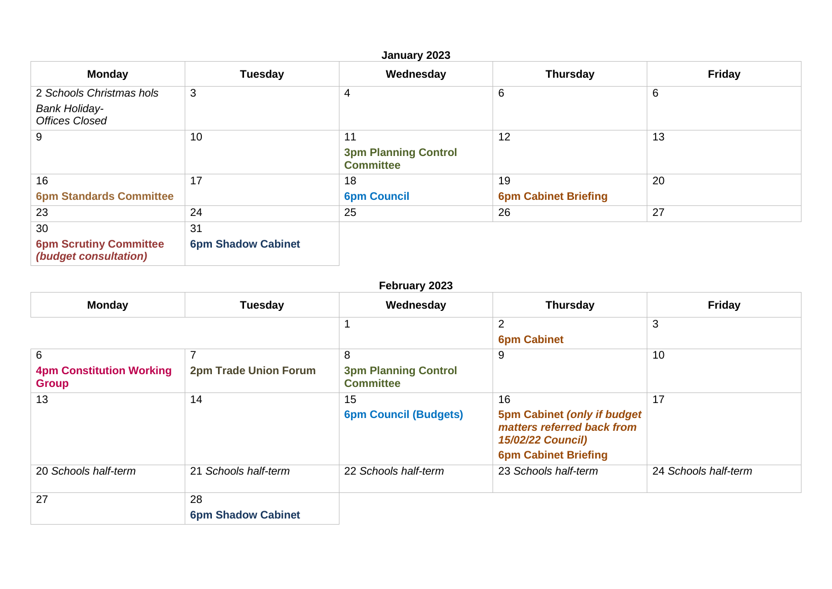## **January 2023 Monday Tuesday Wednesday Thursday Friday** 2 *Schools Christmas hols Bank Holiday-Offices Closed*  $\begin{array}{|c|c|c|c|c|}\n\hline\n3 & 4 & 6 & 6 \\
\hline\n\end{array}$ 9  $\begin{array}{|c|c|c|c|c|}\n\hline\n9 & 10 & 11\n\end{array}$ **3pm Planning Control Committee**  $12$  13 16 **6pm Standards Committee**  $\begin{array}{c|c|c|c|c} \hline \end{array}$  18 **6pm Council** 19 **6pm Cabinet Briefing** 20 23 24 25 26 27 30 **6pm Scrutiny Committee**  *(budget consultation)* 31 **6pm Shadow Cabinet**

## **February 2023**

| <b>Monday</b>                                   | <b>Tuesday</b>                  | Wednesday                                       | <b>Thursday</b>                                                                                                       | <b>Friday</b>        |
|-------------------------------------------------|---------------------------------|-------------------------------------------------|-----------------------------------------------------------------------------------------------------------------------|----------------------|
|                                                 |                                 |                                                 | $\overline{2}$                                                                                                        | 3                    |
|                                                 |                                 |                                                 | <b>6pm Cabinet</b>                                                                                                    |                      |
| 6                                               |                                 | 8                                               | 9                                                                                                                     | 10                   |
| <b>4pm Constitution Working</b><br><b>Group</b> | <b>2pm Trade Union Forum</b>    | <b>3pm Planning Control</b><br><b>Committee</b> |                                                                                                                       |                      |
| 13                                              | 14                              | 15                                              | 16                                                                                                                    | 17                   |
|                                                 |                                 | <b>6pm Council (Budgets)</b>                    | <b>5pm Cabinet (only if budget)</b><br>matters referred back from<br>15/02/22 Council)<br><b>6pm Cabinet Briefing</b> |                      |
| 20 Schools half-term                            | 21 Schools half-term            | 22 Schools half-term                            | 23 Schools half-term                                                                                                  | 24 Schools half-term |
| 27                                              | 28<br><b>6pm Shadow Cabinet</b> |                                                 |                                                                                                                       |                      |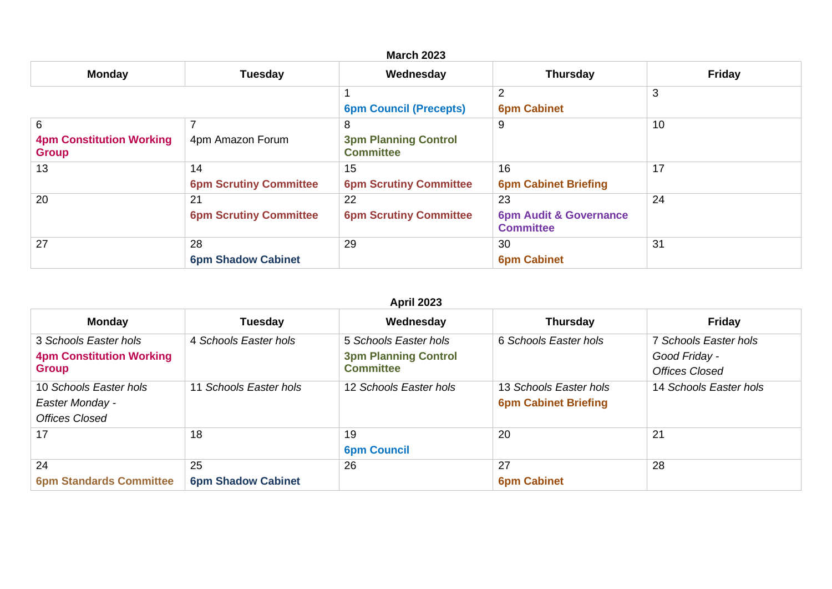| <b>Monday</b>                                        | <b>Tuesday</b>                      | Wednesday                                            | <b>Thursday</b>                                             | <b>Friday</b> |
|------------------------------------------------------|-------------------------------------|------------------------------------------------------|-------------------------------------------------------------|---------------|
|                                                      |                                     | <b>6pm Council (Precepts)</b>                        | $\overline{2}$<br><b>6pm Cabinet</b>                        | 3             |
| 6<br><b>4pm Constitution Working</b><br><b>Group</b> | 4pm Amazon Forum                    | 8<br><b>3pm Planning Control</b><br><b>Committee</b> | 9                                                           | 10            |
| 13                                                   | 14<br><b>6pm Scrutiny Committee</b> | 15<br><b>6pm Scrutiny Committee</b>                  | 16<br><b>6pm Cabinet Briefing</b>                           | 17            |
| 20                                                   | 21<br><b>6pm Scrutiny Committee</b> | 22<br><b>6pm Scrutiny Committee</b>                  | 23<br><b>6pm Audit &amp; Governance</b><br><b>Committee</b> | 24            |
| 27                                                   | 28<br><b>6pm Shadow Cabinet</b>     | 29                                                   | 30<br><b>6pm Cabinet</b>                                    | 31            |

| <b>Monday</b>                   | <b>Tuesday</b>            | Wednesday                   | <b>Thursday</b>             | <b>Friday</b>          |
|---------------------------------|---------------------------|-----------------------------|-----------------------------|------------------------|
| 3 Schools Easter hols           | 4 Schools Easter hols     | 5 Schools Easter hols       | 6 Schools Easter hols       | 7 Schools Easter hols  |
| <b>4pm Constitution Working</b> |                           | <b>3pm Planning Control</b> |                             | Good Friday -          |
| <b>Group</b>                    |                           | <b>Committee</b>            |                             | Offices Closed         |
| 10 Schools Easter hols          | 11 Schools Easter hols    | 12 Schools Easter hols      | 13 Schools Easter hols      | 14 Schools Easter hols |
| Easter Monday -                 |                           |                             | <b>6pm Cabinet Briefing</b> |                        |
| <b>Offices Closed</b>           |                           |                             |                             |                        |
| 17                              | 18                        | 19                          | 20                          | 21                     |
|                                 |                           | <b>6pm Council</b>          |                             |                        |
| 24                              | 25                        | 26                          | 27                          | 28                     |
| <b>6pm Standards Committee</b>  | <b>6pm Shadow Cabinet</b> |                             | <b>6pm Cabinet</b>          |                        |